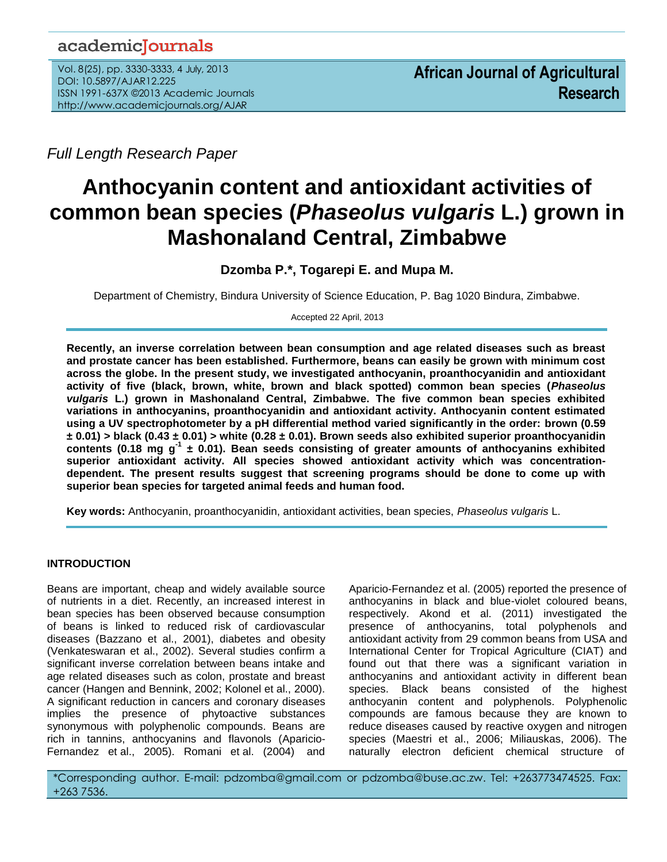## academicJournals

Vol. 8(25), pp. 3330-3333, 4 July, 2013 DOI: 10.5897/AJAR12.225 ISSN 1991-637X ©2013 Academic Journals http://www.academicjournals.org/AJAR

*Full Length Research Paper*

# **Anthocyanin content and antioxidant activities of common bean species (***Phaseolus vulgaris* **L.) grown in Mashonaland Central, Zimbabwe**

## **Dzomba P.\*, Togarepi E. and Mupa M.**

Department of Chemistry, Bindura University of Science Education, P. Bag 1020 Bindura, Zimbabwe.

Accepted 22 April, 2013

**Recently, an inverse correlation between bean consumption and age related diseases such as breast and prostate cancer has been established. Furthermore, beans can easily be grown with minimum cost across the globe. In the present study, we investigated anthocyanin, proanthocyanidin and antioxidant activity of five (black, brown, white, brown and black spotted) common bean species (***Phaseolus vulgaris* **L.) grown in Mashonaland Central, Zimbabwe. The five common bean species exhibited variations in anthocyanins, proanthocyanidin and antioxidant activity. Anthocyanin content estimated using a UV spectrophotometer by a pH differential method varied significantly in the order: brown (0.59 ± 0.01) > black (0.43 ± 0.01) > white (0.28 ± 0.01). Brown seeds also exhibited superior proanthocyanidin contents (0.18 mg g-1 ± 0.01). Bean seeds consisting of greater amounts of anthocyanins exhibited superior antioxidant activity. All species showed antioxidant activity which was concentrationdependent. The present results suggest that screening programs should be done to come up with superior bean species for targeted animal feeds and human food.**

**Key words:** Anthocyanin, proanthocyanidin, antioxidant activities, bean species, *Phaseolus vulgaris* L.

### **INTRODUCTION**

Beans are important, cheap and widely available source of nutrients in a diet. Recently, an increased interest in bean species has been observed because consumption of beans is linked to reduced risk of cardiovascular diseases (Bazzano et al., 2001), diabetes and obesity (Venkateswaran et al., 2002). Several studies confirm a significant inverse correlation between beans intake and age related diseases such as colon, prostate and breast cancer (Hangen and Bennink, 2002; Kolonel et al., 2000). A significant reduction in cancers and coronary diseases implies the presence of phytoactive substances synonymous with polyphenolic compounds. Beans are rich in tannins, anthocyanins and flavonols (Aparicio-Fernandez et al., 2005). Romani et al. (2004) and

Aparicio-Fernandez et al. (2005) reported the presence of anthocyanins in black and blue-violet coloured beans, respectively. Akond et al. (2011) investigated the presence of anthocyanins, total polyphenols and antioxidant activity from 29 common beans from USA and International Center for Tropical Agriculture (CIAT) and found out that there was a significant variation in anthocyanins and antioxidant activity in different bean species. Black beans consisted of the highest anthocyanin content and polyphenols. Polyphenolic compounds are famous because they are known to reduce diseases caused by reactive oxygen and nitrogen species (Maestri et al., 2006; Miliauskas, 2006). The naturally electron deficient chemical structure of

\*Corresponding author. E-mail: pdzomba@gmail.com or pdzomba@buse.ac.zw. Tel: +263773474525. Fax: +263 7536.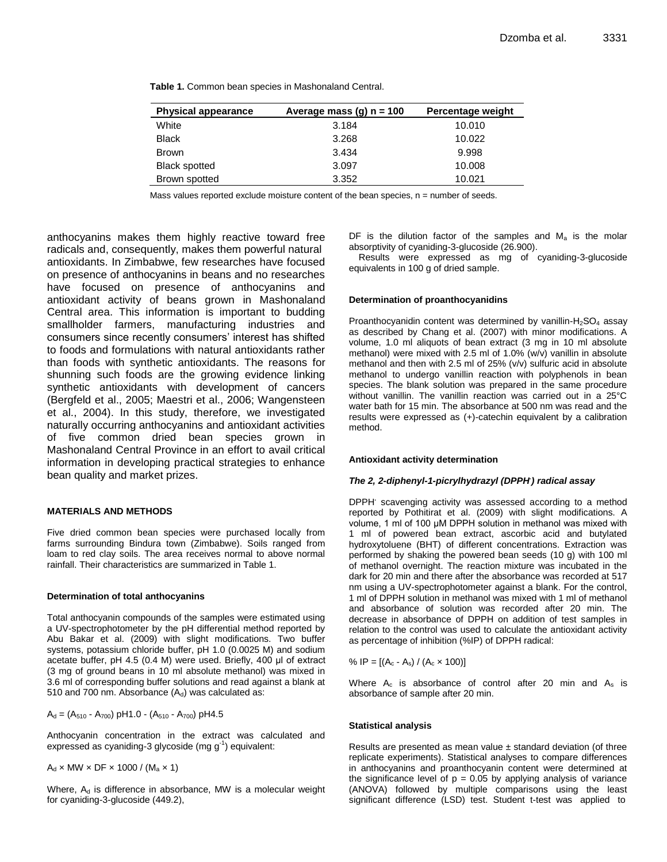| <b>Physical appearance</b> | Average mass (g) $n = 100$ | Percentage weight |
|----------------------------|----------------------------|-------------------|
| White                      | 3.184                      | 10.010            |
| <b>Black</b>               | 3.268                      | 10.022            |
| <b>Brown</b>               | 3.434                      | 9.998             |
| <b>Black spotted</b>       | 3.097                      | 10.008            |
| Brown spotted              | 3.352                      | 10.021            |

**Table 1.** Common bean species in Mashonaland Central.

Mass values reported exclude moisture content of the bean species,  $n =$  number of seeds.

anthocyanins makes them highly reactive toward free radicals and, consequently, makes them powerful natural antioxidants. In Zimbabwe, few researches have focused on presence of anthocyanins in beans and no researches have focused on presence of anthocyanins and antioxidant activity of beans grown in Mashonaland Central area. This information is important to budding smallholder farmers, manufacturing industries and consumers since recently consumers' interest has shifted to foods and formulations with natural antioxidants rather than foods with synthetic antioxidants. The reasons for shunning such foods are the growing evidence linking synthetic antioxidants with development of cancers (Bergfeld et al., 2005; Maestri et al., 2006; Wangensteen et al., 2004). In this study, therefore, we investigated naturally occurring anthocyanins and antioxidant activities of five common dried bean species grown in Mashonaland Central Province in an effort to avail critical information in developing practical strategies to enhance bean quality and market prizes.

#### **MATERIALS AND METHODS**

Five dried common bean species were purchased locally from farms surrounding Bindura town (Zimbabwe). Soils ranged from loam to red clay soils. The area receives normal to above normal rainfall. Their characteristics are summarized in Table 1.

#### **Determination of total anthocyanins**

Total anthocyanin compounds of the samples were estimated using a UV-spectrophotometer by the pH differential method reported by Abu Bakar et al. (2009) with slight modifications. Two buffer systems, potassium chloride buffer, pH 1.0 (0.0025 M) and sodium acetate buffer, pH 4.5 (0.4 M) were used. Briefly, 400 μl of extract (3 mg of ground beans in 10 ml absolute methanol) was mixed in 3.6 ml of corresponding buffer solutions and read against a blank at 510 and 700 nm. Absorbance  $(A_d)$  was calculated as:

 $A_d = (A_{510} - A_{700})$  pH1.0 -  $(A_{510} - A_{700})$  pH4.5

Anthocyanin concentration in the extract was calculated and expressed as cyaniding-3 glycoside (mg g<sup>-1</sup>) equivalent:

 $A_d \times MW \times DF \times 1000 / (M_a \times 1)$ 

Where,  $A_d$  is difference in absorbance, MW is a molecular weight for cyaniding-3-glucoside (449.2),

DF is the dilution factor of the samples and  $M_a$  is the molar absorptivity of cyaniding-3-glucoside (26.900).

Results were expressed as mg of cyaniding-3-glucoside equivalents in 100 g of dried sample.

#### **Determination of proanthocyanidins**

Proanthocyanidin content was determined by vanillin- $H<sub>2</sub>SO<sub>4</sub>$  assay as described by Chang et al. (2007) with minor modifications. A volume, 1.0 ml aliquots of bean extract (3 mg in 10 ml absolute methanol) were mixed with 2.5 ml of 1.0% (w/v) vanillin in absolute methanol and then with 2.5 ml of 25% (v/v) sulfuric acid in absolute methanol to undergo vanillin reaction with polyphenols in bean species. The blank solution was prepared in the same procedure without vanillin. The vanillin reaction was carried out in a 25°C water bath for 15 min. The absorbance at 500 nm was read and the results were expressed as (+)-catechin equivalent by a calibration method.

#### **Antioxidant activity determination**

#### *The 2, 2-diphenyl-1-picrylhydrazyl (DPPH. ) radical assay*

DPPH**.** scavenging activity was assessed according to a method reported by Pothitirat et al. (2009) with slight modifications. A volume, 1 ml of 100 μM DPPH solution in methanol was mixed with 1 ml of powered bean extract, ascorbic acid and butylated hydroxytoluene (BHT) of different concentrations. Extraction was performed by shaking the powered bean seeds (10 g) with 100 ml of methanol overnight. The reaction mixture was incubated in the dark for 20 min and there after the absorbance was recorded at 517 nm using a UV-spectrophotometer against a blank. For the control, 1 ml of DPPH solution in methanol was mixed with 1 ml of methanol and absorbance of solution was recorded after 20 min. The decrease in absorbance of DPPH on addition of test samples in relation to the control was used to calculate the antioxidant activity as percentage of inhibition (%IP) of DPPH radical:

% IP = 
$$
[(A_c - A_s) / (A_c \times 100)]
$$

Where  $A_c$  is absorbance of control after 20 min and  $A_s$  is absorbance of sample after 20 min.

#### **Statistical analysis**

Results are presented as mean value  $\pm$  standard deviation (of three replicate experiments). Statistical analyses to compare differences in anthocyanins and proanthocyanin content were determined at the significance level of  $p = 0.05$  by applying analysis of variance (ANOVA) followed by multiple comparisons using the least significant difference (LSD) test. Student t-test was applied to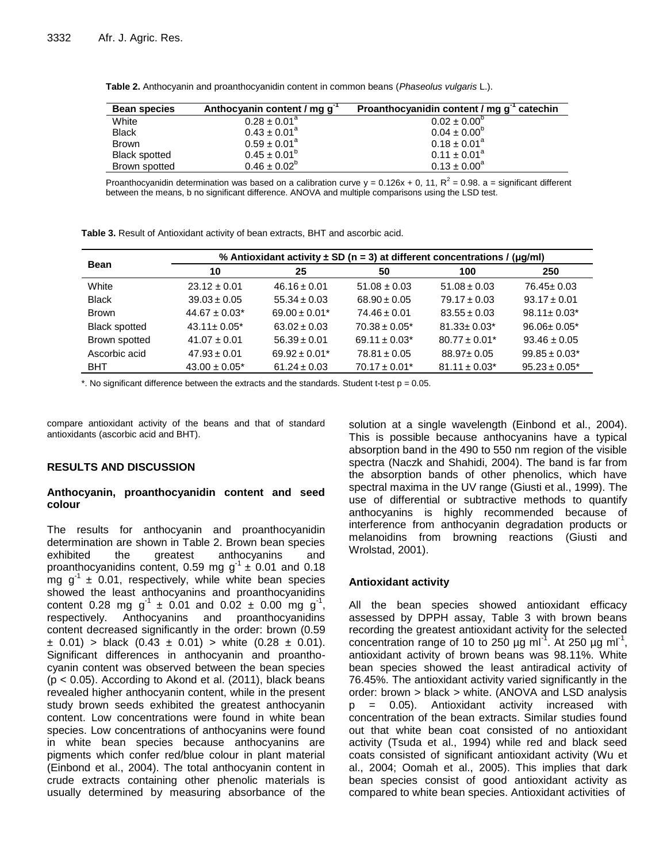| <b>Bean species</b>  | Anthocyanin content / mg g <sup>-1</sup> | Proanthocyanidin content / mg g <sup>-1</sup> catechin |
|----------------------|------------------------------------------|--------------------------------------------------------|
| White                | $0.28 \pm 0.01^a$                        | $0.02 \pm 0.00^{\circ}$                                |
| <b>Black</b>         | $0.43 \pm 0.01^a$                        | $0.04 \pm 0.00^{\circ}$                                |
| <b>Brown</b>         | $0.59 \pm 0.01^a$                        | $0.18 \pm 0.01^a$                                      |
| <b>Black spotted</b> | $0.45 \pm 0.01^b$                        | $0.11 \pm 0.01^a$                                      |
| Brown spotted        | $0.46 \pm 0.02^{\circ}$                  | $0.13 \pm 0.00^a$                                      |

**Table 2.** Anthocyanin and proanthocyanidin content in common beans (*Phaseolus vulgaris* L.).

Proanthocyanidin determination was based on a calibration curve  $y = 0.126x + 0$ , 11,  $R^2 = 0.98$ . a = significant different between the means, b no significant difference. ANOVA and multiple comparisons using the LSD test.

|  |  |  | <b>Table 3.</b> Result of Antioxidant activity of bean extracts, BHT and ascorbic acid. |
|--|--|--|-----------------------------------------------------------------------------------------|
|  |  |  |                                                                                         |

|                      | % Antioxidant activity $\pm$ SD (n = 3) at different concentrations / (µg/ml) |                   |                    |                    |                    |  |
|----------------------|-------------------------------------------------------------------------------|-------------------|--------------------|--------------------|--------------------|--|
| <b>Bean</b>          | 10                                                                            | 25                | 50                 | 100                | 250                |  |
| White                | $23.12 \pm 0.01$                                                              | $46.16 \pm 0.01$  | $51.08 \pm 0.03$   | $51.08 \pm 0.03$   | $76.45 \pm 0.03$   |  |
| <b>Black</b>         | $39.03 \pm 0.05$                                                              | $55.34 \pm 0.03$  | $68.90 \pm 0.05$   | $79.17 \pm 0.03$   | $93.17 \pm 0.01$   |  |
| <b>Brown</b>         | $44.67 \pm 0.03$ *                                                            | $69.00 \pm 0.01*$ | $74.46 \pm 0.01$   | $83.55 \pm 0.03$   | $98.11 \pm 0.03$ * |  |
| <b>Black spotted</b> | $43.11 \pm 0.05^*$                                                            | $63.02 \pm 0.03$  | $70.38 \pm 0.05^*$ | $81.33 \pm 0.03^*$ | $96.06 \pm 0.05^*$ |  |
| Brown spotted        | $41.07 \pm 0.01$                                                              | $56.39 \pm 0.01$  | $69.11 \pm 0.03$ * | $80.77 \pm 0.01*$  | $93.46 \pm 0.05$   |  |
| Ascorbic acid        | $47.93 \pm 0.01$                                                              | $69.92 \pm 0.01*$ | $78.81 \pm 0.05$   | $88.97 \pm 0.05$   | $99.85 \pm 0.03^*$ |  |
| <b>BHT</b>           | $43.00 \pm 0.05^*$                                                            | $61.24 \pm 0.03$  | $70.17 \pm 0.01*$  | $81.11 \pm 0.03$ * | $95.23 \pm 0.05^*$ |  |

 $*$ . No significant difference between the extracts and the standards. Student t-test  $p = 0.05$ .

compare antioxidant activity of the beans and that of standard antioxidants (ascorbic acid and BHT).

#### **RESULTS AND DISCUSSION**

#### **Anthocyanin, proanthocyanidin content and seed colour**

The results for anthocyanin and proanthocyanidin determination are shown in Table 2. Brown bean species exhibited the greatest anthocyanins and proanthocyanidins content, 0.59 mg  $g^{-1} \pm 0.01$  and 0.18 mg  $g^{-1}$  ± 0.01, respectively, while white bean species showed the least anthocyanins and proanthocyanidins content 0.28 mg  $g^{-1}$  ± 0.01 and 0.02 ± 0.00 mg  $g^{-1}$ , respectively. Anthocyanins and proanthocyanidins content decreased significantly in the order: brown (0.59  $\pm$  0.01) > black (0.43  $\pm$  0.01) > white (0.28  $\pm$  0.01). Significant differences in anthocyanin and proanthocyanin content was observed between the bean species  $(p < 0.05)$ . According to Akond et al. (2011), black beans revealed higher anthocyanin content, while in the present study brown seeds exhibited the greatest anthocyanin content. Low concentrations were found in white bean species. Low concentrations of anthocyanins were found in white bean species because anthocyanins are pigments which confer red/blue colour in plant material (Einbond et al., 2004). The total anthocyanin content in crude extracts containing other phenolic materials is usually determined by measuring absorbance of the

solution at a single wavelength (Einbond et al., 2004). This is possible because anthocyanins have a typical absorption band in the 490 to 550 nm region of the visible spectra (Naczk and Shahidi, 2004). The band is far from the absorption bands of other phenolics, which have spectral maxima in the UV range (Giusti et al., 1999). The use of differential or subtractive methods to quantify anthocyanins is highly recommended because of interference from anthocyanin degradation products or melanoidins from browning reactions (Giusti and Wrolstad, 2001).

#### **Antioxidant activity**

All the bean species showed antioxidant efficacy assessed by DPPH assay, Table 3 with brown beans recording the greatest antioxidant activity for the selected concentration range of 10 to 250  $\mu$ g ml<sup>-1</sup>. At 250  $\mu$ g ml<sup>-1</sup>, antioxidant activity of brown beans was 98.11%. White bean species showed the least antiradical activity of 76.45%. The antioxidant activity varied significantly in the order: brown > black > white. (ANOVA and LSD analysis p = 0.05). Antioxidant activity increased with concentration of the bean extracts. Similar studies found out that white bean coat consisted of no antioxidant activity (Tsuda et al., 1994) while red and black seed coats consisted of significant antioxidant activity (Wu et al., 2004; Oomah et al., 2005). This implies that dark bean species consist of good antioxidant activity as compared to white bean species. Antioxidant activities of